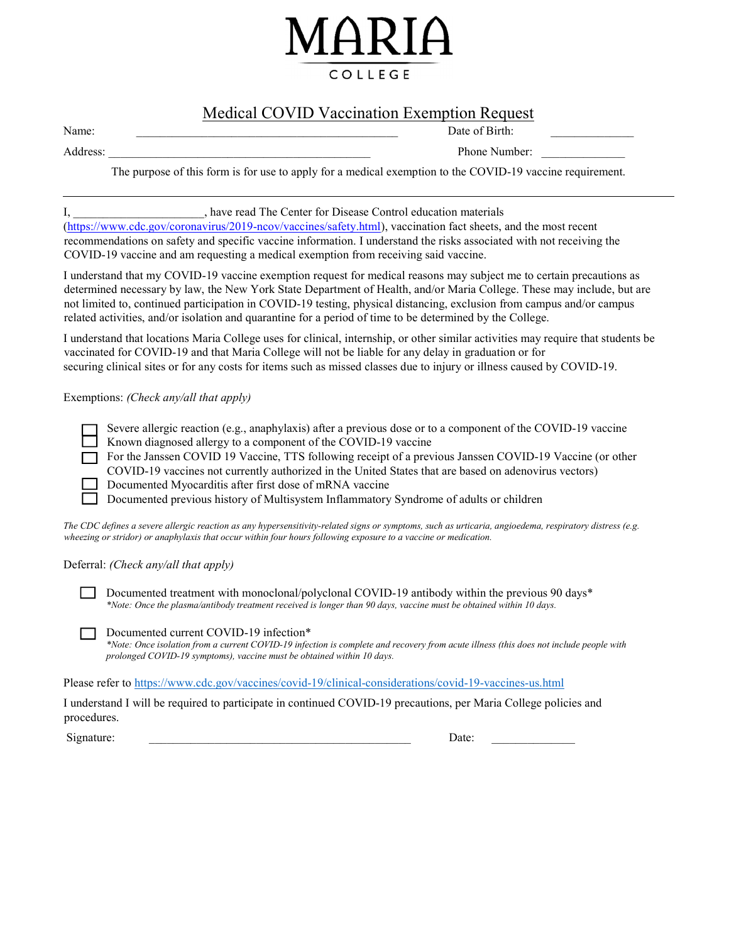

# Medical COVID Vaccination Exemption Request

Name: \_\_\_\_\_\_\_\_\_\_\_\_\_\_\_\_\_\_\_\_\_\_\_\_\_\_\_\_\_\_\_\_\_\_\_\_\_\_\_\_\_\_\_\_ Date of Birth: \_\_\_\_\_\_\_\_\_\_\_\_\_\_

Address: The Contract of the Contract of the Contract of the Contract of the Contract of the Contract of the Contract of the Contract of the Contract of the Contract of the Contract of the Contract of the Contract of the C

The purpose of this form is for use to apply for a medical exemption to the COVID-19 vaccine requirement.

### I, \_\_\_\_\_\_\_\_\_\_\_\_\_\_\_\_\_\_\_\_\_\_, have read The Center for Disease Control education materials

(https://www.cdc.gov/coronavirus/2019-ncov/vaccines/safety.html), vaccination fact sheets, and the most recent recommendations on safety and specific vaccine information. I understand the risks associated with not receiving the COVID-19 vaccine and am requesting a medical exemption from receiving said vaccine.

I understand that my COVID-19 vaccine exemption request for medical reasons may subject me to certain precautions as determined necessary by law, the New York State Department of Health, and/or Maria College. These may include, but are not limited to, continued participation in COVID-19 testing, physical distancing, exclusion from campus and/or campus related activities, and/or isolation and quarantine for a period of time to be determined by the College.

I understand that locations Maria College uses for clinical, internship, or other similar activities may require that students be vaccinated for COVID-19 and that Maria College will not be liable for any delay in graduation or for securing clinical sites or for any costs for items such as missed classes due to injury or illness caused by COVID-19.

### Exemptions: (Check any/all that apply)

Severe allergic reaction (e.g., anaphylaxis) after a previous dose or to a component of the COVID-19 vaccine Known diagnosed allergy to a component of the COVID-19 vaccine

For the Janssen COVID 19 Vaccine, TTS following receipt of a previous Janssen COVID-19 Vaccine (or other COVID-19 vaccines not currently authorized in the United States that are based on adenovirus vectors) Documented Myocarditis after first dose of mRNA vaccine

Documented previous history of Multisystem Inflammatory Syndrome of adults or children

The CDC defines a severe allergic reaction as any hypersensitivity-related signs or symptoms, such as urticaria, angioedema, respiratory distress (e.g. wheezing or stridor) or anaphylaxis that occur within four hours following exposure to a vaccine or medication.

#### Deferral: (Check any/all that apply)

Documented treatment with monoclonal/polyclonal COVID-19 antibody within the previous 90 days\* \*Note: Once the plasma/antibody treatment received is longer than 90 days, vaccine must be obtained within 10 days.

Documented current COVID-19 infection\*

\*Note: Once isolation from a current COVID-19 infection is complete and recovery from acute illness (this does not include people with prolonged COVID-19 symptoms), vaccine must be obtained within 10 days.

Please refer to https://www.cdc.gov/vaccines/covid-19/clinical-considerations/covid-19-vaccines-us.html

I understand I will be required to participate in continued COVID-19 precautions, per Maria College policies and procedures.

Signature: \_\_\_\_\_\_\_\_\_\_\_\_\_\_\_\_\_\_\_\_\_\_\_\_\_\_\_\_\_\_\_\_\_\_\_\_\_\_\_\_\_\_\_\_ Date: \_\_\_\_\_\_\_\_\_\_\_\_\_\_